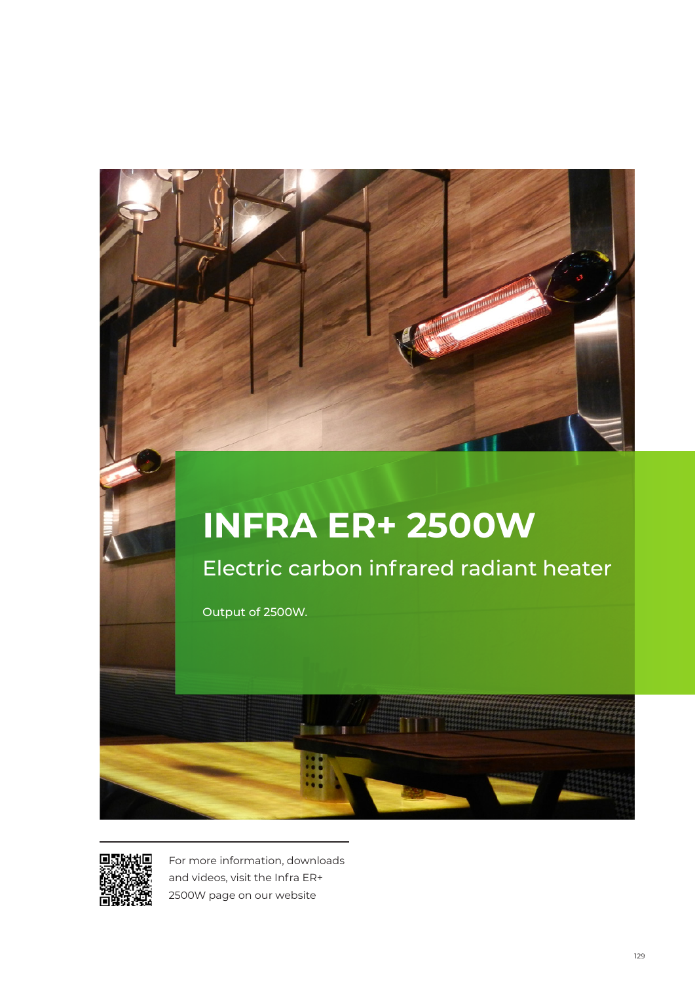

# **INFRA ER+ 2500W**

Electric carbon infrared radiant heater

Output of 2500W.



For more information, downloads and videos, visit the Infra ER+ 2500W page on our website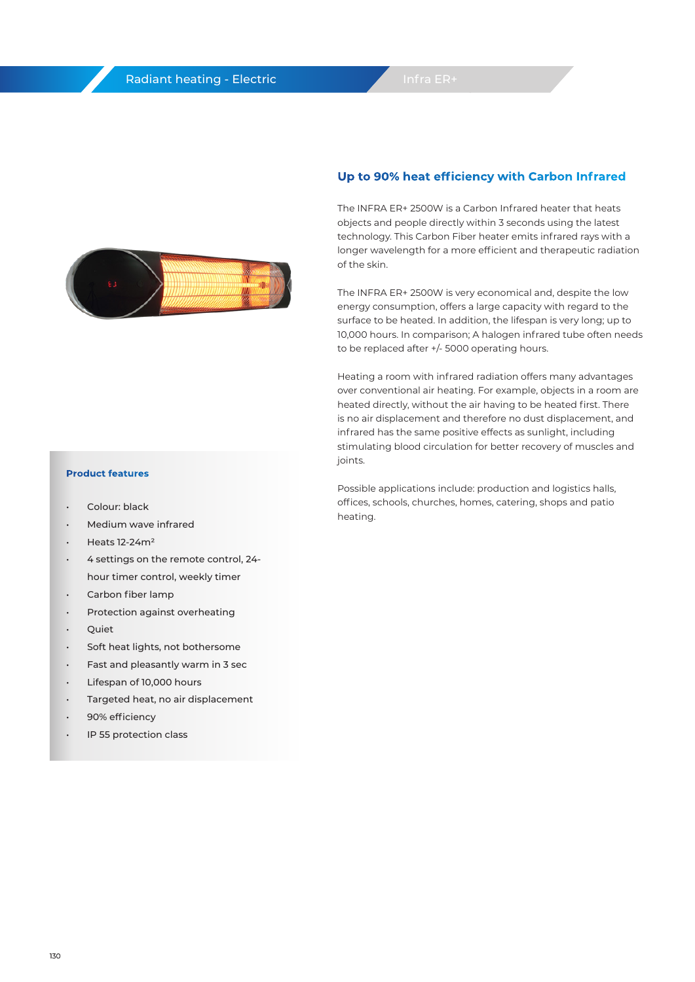

### **Up to 90% heat efficiency with Carbon Infrared**

The INFRA ER+ 2500W is a Carbon Infrared heater that heats objects and people directly within 3 seconds using the latest technology. This Carbon Fiber heater emits infrared rays with a longer wavelength for a more efficient and therapeutic radiation of the skin.

The INFRA ER+ 2500W is very economical and, despite the low energy consumption, offers a large capacity with regard to the surface to be heated. In addition, the lifespan is very long; up to 10,000 hours. In comparison; A halogen infrared tube often needs to be replaced after +/- 5000 operating hours.

Heating a room with infrared radiation offers many advantages over conventional air heating. For example, objects in a room are heated directly, without the air having to be heated first. There is no air displacement and therefore no dust displacement, and infrared has the same positive effects as sunlight, including stimulating blood circulation for better recovery of muscles and joints.

Possible applications include: production and logistics halls, offices, schools, churches, homes, catering, shops and patio heating.

#### **Product features**

- Colour: black
- Medium wave infrared
- Heats 12-24m²
- 4 settings on the remote control, 24 hour timer control, weekly timer
- Carbon fiber lamp
- Protection against overheating
- Quiet
- Soft heat lights, not bothersome
- Fast and pleasantly warm in 3 sec
- Lifespan of 10,000 hours
- Targeted heat, no air displacement
- 90% efficiency
- IP 55 protection class